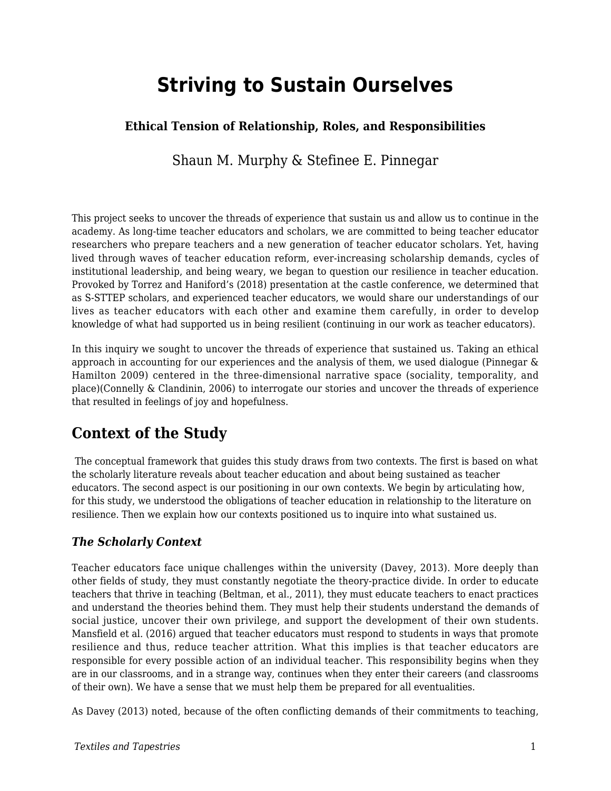# **Striving to Sustain Ourselves**

### **Ethical Tension of Relationship, Roles, and Responsibilities**

Shaun M. Murphy & Stefinee E. Pinnegar

This project seeks to uncover the threads of experience that sustain us and allow us to continue in the academy. As long-time teacher educators and scholars, we are committed to being teacher educator researchers who prepare teachers and a new generation of teacher educator scholars. Yet, having lived through waves of teacher education reform, ever-increasing scholarship demands, cycles of institutional leadership, and being weary, we began to question our resilience in teacher education. Provoked by Torrez and Haniford's (2018) presentation at the castle conference, we determined that as S-STTEP scholars, and experienced teacher educators, we would share our understandings of our lives as teacher educators with each other and examine them carefully, in order to develop knowledge of what had supported us in being resilient (continuing in our work as teacher educators).

In this inquiry we sought to uncover the threads of experience that sustained us. Taking an ethical approach in accounting for our experiences and the analysis of them, we used dialogue (Pinnegar & Hamilton 2009) centered in the three-dimensional narrative space (sociality, temporality, and place)(Connelly & Clandinin, 2006) to interrogate our stories and uncover the threads of experience that resulted in feelings of joy and hopefulness.

## **Context of the Study**

The conceptual framework that guides this study draws from two contexts. The first is based on what the scholarly literature reveals about teacher education and about being sustained as teacher educators. The second aspect is our positioning in our own contexts. We begin by articulating how, for this study, we understood the obligations of teacher education in relationship to the literature on resilience. Then we explain how our contexts positioned us to inquire into what sustained us.

### *The Scholarly Context*

Teacher educators face unique challenges within the university (Davey, 2013). More deeply than other fields of study, they must constantly negotiate the theory-practice divide. In order to educate teachers that thrive in teaching (Beltman, et al., 2011), they must educate teachers to enact practices and understand the theories behind them. They must help their students understand the demands of social justice, uncover their own privilege, and support the development of their own students. Mansfield et al. (2016) argued that teacher educators must respond to students in ways that promote resilience and thus, reduce teacher attrition. What this implies is that teacher educators are responsible for every possible action of an individual teacher. This responsibility begins when they are in our classrooms, and in a strange way, continues when they enter their careers (and classrooms of their own). We have a sense that we must help them be prepared for all eventualities.

As Davey (2013) noted, because of the often conflicting demands of their commitments to teaching,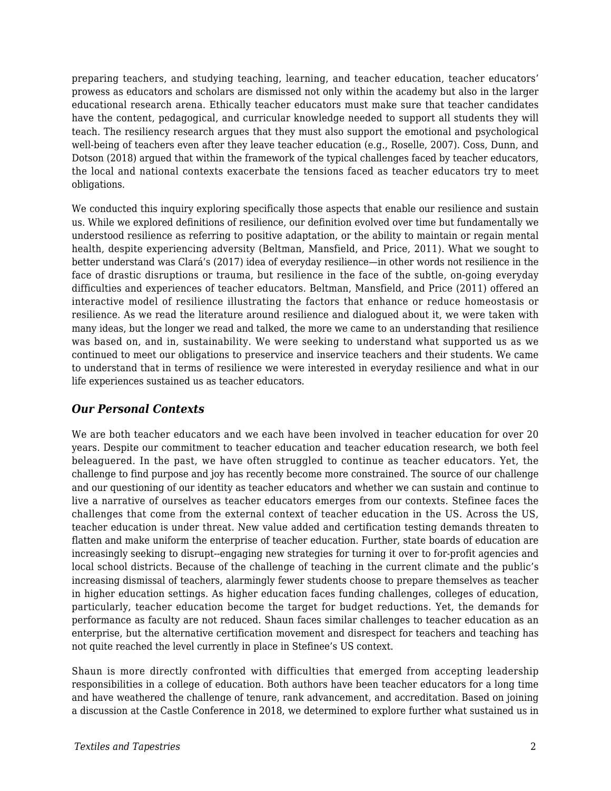preparing teachers, and studying teaching, learning, and teacher education, teacher educators' prowess as educators and scholars are dismissed not only within the academy but also in the larger educational research arena. Ethically teacher educators must make sure that teacher candidates have the content, pedagogical, and curricular knowledge needed to support all students they will teach. The resiliency research argues that they must also support the emotional and psychological well-being of teachers even after they leave teacher education (e.g., Roselle, 2007). Coss, Dunn, and Dotson (2018) argued that within the framework of the typical challenges faced by teacher educators, the local and national contexts exacerbate the tensions faced as teacher educators try to meet obligations.

We conducted this inquiry exploring specifically those aspects that enable our resilience and sustain us. While we explored definitions of resilience, our definition evolved over time but fundamentally we understood resilience as referring to positive adaptation, or the ability to maintain or regain mental health, despite experiencing adversity (Beltman, Mansfield, and Price, 2011). What we sought to better understand was Clará's (2017) idea of everyday resilience—in other words not resilience in the face of drastic disruptions or trauma, but resilience in the face of the subtle, on-going everyday difficulties and experiences of teacher educators. Beltman, Mansfield, and Price (2011) offered an interactive model of resilience illustrating the factors that enhance or reduce homeostasis or resilience. As we read the literature around resilience and dialogued about it, we were taken with many ideas, but the longer we read and talked, the more we came to an understanding that resilience was based on, and in, sustainability. We were seeking to understand what supported us as we continued to meet our obligations to preservice and inservice teachers and their students. We came to understand that in terms of resilience we were interested in everyday resilience and what in our life experiences sustained us as teacher educators.

#### *Our Personal Contexts*

We are both teacher educators and we each have been involved in teacher education for over 20 years. Despite our commitment to teacher education and teacher education research, we both feel beleaguered. In the past, we have often struggled to continue as teacher educators. Yet, the challenge to find purpose and joy has recently become more constrained. The source of our challenge and our questioning of our identity as teacher educators and whether we can sustain and continue to live a narrative of ourselves as teacher educators emerges from our contexts. Stefinee faces the challenges that come from the external context of teacher education in the US. Across the US, teacher education is under threat. New value added and certification testing demands threaten to flatten and make uniform the enterprise of teacher education. Further, state boards of education are increasingly seeking to disrupt--engaging new strategies for turning it over to for-profit agencies and local school districts. Because of the challenge of teaching in the current climate and the public's increasing dismissal of teachers, alarmingly fewer students choose to prepare themselves as teacher in higher education settings. As higher education faces funding challenges, colleges of education, particularly, teacher education become the target for budget reductions. Yet, the demands for performance as faculty are not reduced. Shaun faces similar challenges to teacher education as an enterprise, but the alternative certification movement and disrespect for teachers and teaching has not quite reached the level currently in place in Stefinee's US context.

Shaun is more directly confronted with difficulties that emerged from accepting leadership responsibilities in a college of education. Both authors have been teacher educators for a long time and have weathered the challenge of tenure, rank advancement, and accreditation. Based on joining a discussion at the Castle Conference in 2018, we determined to explore further what sustained us in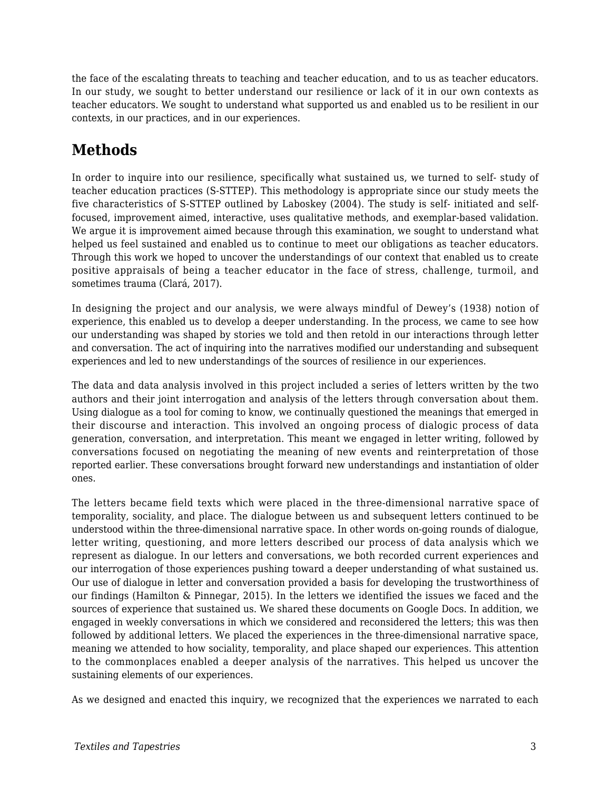the face of the escalating threats to teaching and teacher education, and to us as teacher educators. In our study, we sought to better understand our resilience or lack of it in our own contexts as teacher educators. We sought to understand what supported us and enabled us to be resilient in our contexts, in our practices, and in our experiences.

## **Methods**

In order to inquire into our resilience, specifically what sustained us, we turned to self- study of teacher education practices (S-STTEP). This methodology is appropriate since our study meets the five characteristics of S-STTEP outlined by Laboskey (2004). The study is self- initiated and selffocused, improvement aimed, interactive, uses qualitative methods, and exemplar-based validation. We argue it is improvement aimed because through this examination, we sought to understand what helped us feel sustained and enabled us to continue to meet our obligations as teacher educators. Through this work we hoped to uncover the understandings of our context that enabled us to create positive appraisals of being a teacher educator in the face of stress, challenge, turmoil, and sometimes trauma (Clará, 2017).

In designing the project and our analysis, we were always mindful of Dewey's (1938) notion of experience, this enabled us to develop a deeper understanding. In the process, we came to see how our understanding was shaped by stories we told and then retold in our interactions through letter and conversation. The act of inquiring into the narratives modified our understanding and subsequent experiences and led to new understandings of the sources of resilience in our experiences.

The data and data analysis involved in this project included a series of letters written by the two authors and their joint interrogation and analysis of the letters through conversation about them. Using dialogue as a tool for coming to know, we continually questioned the meanings that emerged in their discourse and interaction. This involved an ongoing process of dialogic process of data generation, conversation, and interpretation. This meant we engaged in letter writing, followed by conversations focused on negotiating the meaning of new events and reinterpretation of those reported earlier. These conversations brought forward new understandings and instantiation of older ones.

The letters became field texts which were placed in the three-dimensional narrative space of temporality, sociality, and place. The dialogue between us and subsequent letters continued to be understood within the three-dimensional narrative space. In other words on-going rounds of dialogue, letter writing, questioning, and more letters described our process of data analysis which we represent as dialogue. In our letters and conversations, we both recorded current experiences and our interrogation of those experiences pushing toward a deeper understanding of what sustained us. Our use of dialogue in letter and conversation provided a basis for developing the trustworthiness of our findings (Hamilton & Pinnegar, 2015). In the letters we identified the issues we faced and the sources of experience that sustained us. We shared these documents on Google Docs. In addition, we engaged in weekly conversations in which we considered and reconsidered the letters; this was then followed by additional letters. We placed the experiences in the three-dimensional narrative space, meaning we attended to how sociality, temporality, and place shaped our experiences. This attention to the commonplaces enabled a deeper analysis of the narratives. This helped us uncover the sustaining elements of our experiences.

As we designed and enacted this inquiry, we recognized that the experiences we narrated to each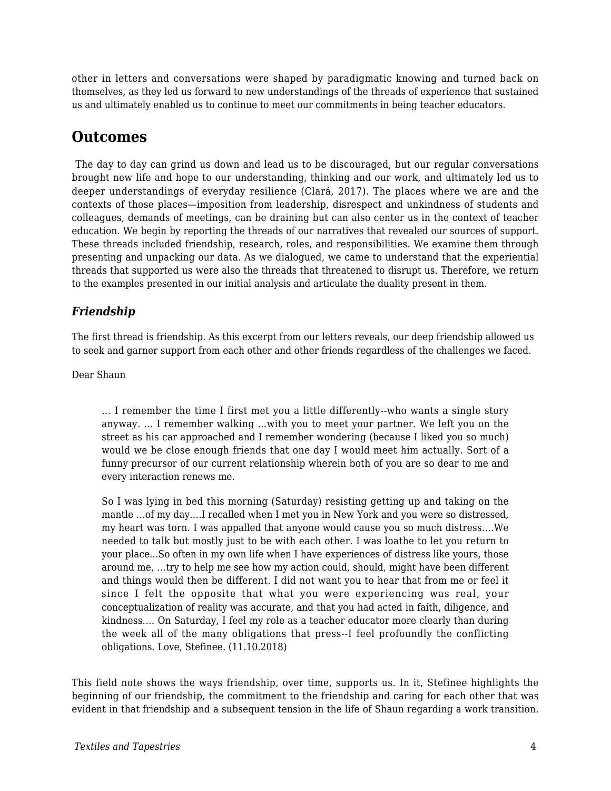other in letters and conversations were shaped by paradigmatic knowing and turned back on themselves, as they led us forward to new understandings of the threads of experience that sustained us and ultimately enabled us to continue to meet our commitments in being teacher educators.

## **Outcomes**

The day to day can grind us down and lead us to be discouraged, but our regular conversations brought new life and hope to our understanding, thinking and our work, and ultimately led us to deeper understandings of everyday resilience (Clará, 2017). The places where we are and the contexts of those places—imposition from leadership, disrespect and unkindness of students and colleagues, demands of meetings, can be draining but can also center us in the context of teacher education. We begin by reporting the threads of our narratives that revealed our sources of support. These threads included friendship, research, roles, and responsibilities. We examine them through presenting and unpacking our data. As we dialogued, we came to understand that the experiential threads that supported us were also the threads that threatened to disrupt us. Therefore, we return to the examples presented in our initial analysis and articulate the duality present in them.

### *Friendship*

The first thread is friendship. As this excerpt from our letters reveals, our deep friendship allowed us to seek and garner support from each other and other friends regardless of the challenges we faced.

Dear Shaun

… I remember the time I first met you a little differently--who wants a single story anyway. … I remember walking …with you to meet your partner. We left you on the street as his car approached and I remember wondering (because I liked you so much) would we be close enough friends that one day I would meet him actually. Sort of a funny precursor of our current relationship wherein both of you are so dear to me and every interaction renews me.

So I was lying in bed this morning (Saturday) resisting getting up and taking on the mantle …of my day….I recalled when I met you in New York and you were so distressed, my heart was torn. I was appalled that anyone would cause you so much distress….We needed to talk but mostly just to be with each other. I was loathe to let you return to your place...So often in my own life when I have experiences of distress like yours, those around me, …try to help me see how my action could, should, might have been different and things would then be different. I did not want you to hear that from me or feel it since I felt the opposite that what you were experiencing was real, your conceptualization of reality was accurate, and that you had acted in faith, diligence, and kindness.… On Saturday, I feel my role as a teacher educator more clearly than during the week all of the many obligations that press--I feel profoundly the conflicting obligations. Love, Stefinee. (11.10.2018)

This field note shows the ways friendship, over time, supports us. In it, Stefinee highlights the beginning of our friendship, the commitment to the friendship and caring for each other that was evident in that friendship and a subsequent tension in the life of Shaun regarding a work transition.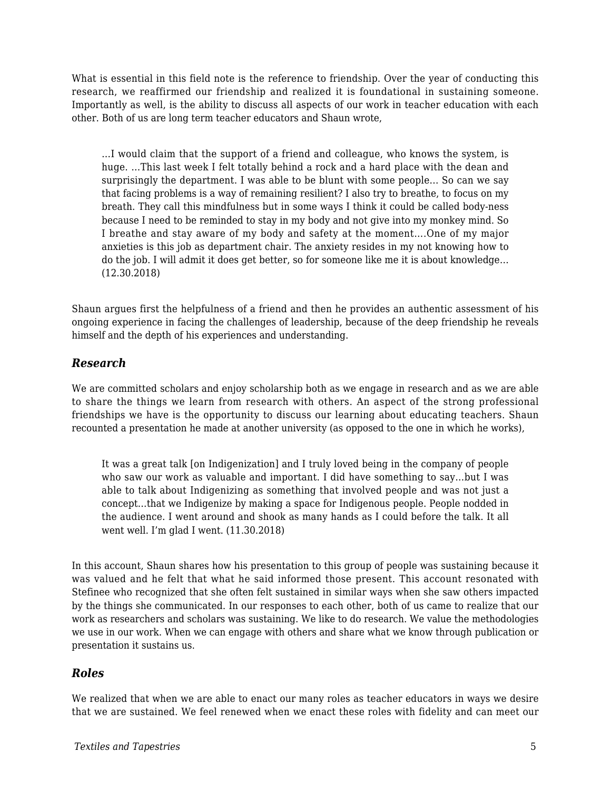What is essential in this field note is the reference to friendship. Over the year of conducting this research, we reaffirmed our friendship and realized it is foundational in sustaining someone. Importantly as well, is the ability to discuss all aspects of our work in teacher education with each other. Both of us are long term teacher educators and Shaun wrote,

…I would claim that the support of a friend and colleague, who knows the system, is huge. …This last week I felt totally behind a rock and a hard place with the dean and surprisingly the department. I was able to be blunt with some people... So can we say that facing problems is a way of remaining resilient? I also try to breathe, to focus on my breath. They call this mindfulness but in some ways I think it could be called body-ness because I need to be reminded to stay in my body and not give into my monkey mind. So I breathe and stay aware of my body and safety at the moment….One of my major anxieties is this job as department chair. The anxiety resides in my not knowing how to do the job. I will admit it does get better, so for someone like me it is about knowledge… (12.30.2018)

Shaun argues first the helpfulness of a friend and then he provides an authentic assessment of his ongoing experience in facing the challenges of leadership, because of the deep friendship he reveals himself and the depth of his experiences and understanding.

#### *Research*

We are committed scholars and enjoy scholarship both as we engage in research and as we are able to share the things we learn from research with others. An aspect of the strong professional friendships we have is the opportunity to discuss our learning about educating teachers. Shaun recounted a presentation he made at another university (as opposed to the one in which he works),

It was a great talk [on Indigenization] and I truly loved being in the company of people who saw our work as valuable and important. I did have something to say…but I was able to talk about Indigenizing as something that involved people and was not just a concept…that we Indigenize by making a space for Indigenous people. People nodded in the audience. I went around and shook as many hands as I could before the talk. It all went well. I'm glad I went. (11.30.2018)

In this account, Shaun shares how his presentation to this group of people was sustaining because it was valued and he felt that what he said informed those present. This account resonated with Stefinee who recognized that she often felt sustained in similar ways when she saw others impacted by the things she communicated. In our responses to each other, both of us came to realize that our work as researchers and scholars was sustaining. We like to do research. We value the methodologies we use in our work. When we can engage with others and share what we know through publication or presentation it sustains us.

#### *Roles*

We realized that when we are able to enact our many roles as teacher educators in ways we desire that we are sustained. We feel renewed when we enact these roles with fidelity and can meet our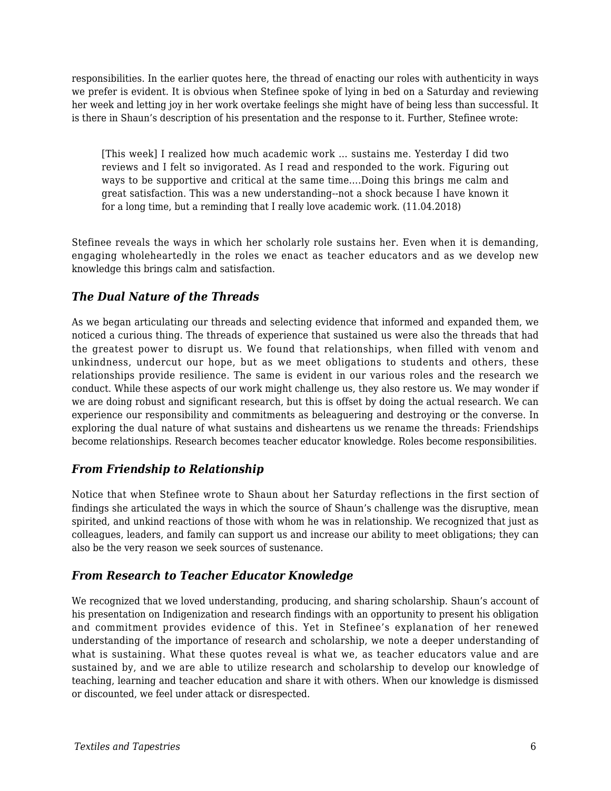responsibilities. In the earlier quotes here, the thread of enacting our roles with authenticity in ways we prefer is evident. It is obvious when Stefinee spoke of lying in bed on a Saturday and reviewing her week and letting joy in her work overtake feelings she might have of being less than successful. It is there in Shaun's description of his presentation and the response to it. Further, Stefinee wrote:

[This week] I realized how much academic work … sustains me. Yesterday I did two reviews and I felt so invigorated. As I read and responded to the work. Figuring out ways to be supportive and critical at the same time….Doing this brings me calm and great satisfaction. This was a new understanding--not a shock because I have known it for a long time, but a reminding that I really love academic work. (11.04.2018)

Stefinee reveals the ways in which her scholarly role sustains her. Even when it is demanding, engaging wholeheartedly in the roles we enact as teacher educators and as we develop new knowledge this brings calm and satisfaction.

#### *The Dual Nature of the Threads*

As we began articulating our threads and selecting evidence that informed and expanded them, we noticed a curious thing. The threads of experience that sustained us were also the threads that had the greatest power to disrupt us. We found that relationships, when filled with venom and unkindness, undercut our hope, but as we meet obligations to students and others, these relationships provide resilience. The same is evident in our various roles and the research we conduct. While these aspects of our work might challenge us, they also restore us. We may wonder if we are doing robust and significant research, but this is offset by doing the actual research. We can experience our responsibility and commitments as beleaguering and destroying or the converse. In exploring the dual nature of what sustains and disheartens us we rename the threads: Friendships become relationships. Research becomes teacher educator knowledge. Roles become responsibilities.

### *From Friendship to Relationship*

Notice that when Stefinee wrote to Shaun about her Saturday reflections in the first section of findings she articulated the ways in which the source of Shaun's challenge was the disruptive, mean spirited, and unkind reactions of those with whom he was in relationship. We recognized that just as colleagues, leaders, and family can support us and increase our ability to meet obligations; they can also be the very reason we seek sources of sustenance.

#### *From Research to Teacher Educator Knowledge*

We recognized that we loved understanding, producing, and sharing scholarship. Shaun's account of his presentation on Indigenization and research findings with an opportunity to present his obligation and commitment provides evidence of this. Yet in Stefinee's explanation of her renewed understanding of the importance of research and scholarship, we note a deeper understanding of what is sustaining. What these quotes reveal is what we, as teacher educators value and are sustained by, and we are able to utilize research and scholarship to develop our knowledge of teaching, learning and teacher education and share it with others. When our knowledge is dismissed or discounted, we feel under attack or disrespected.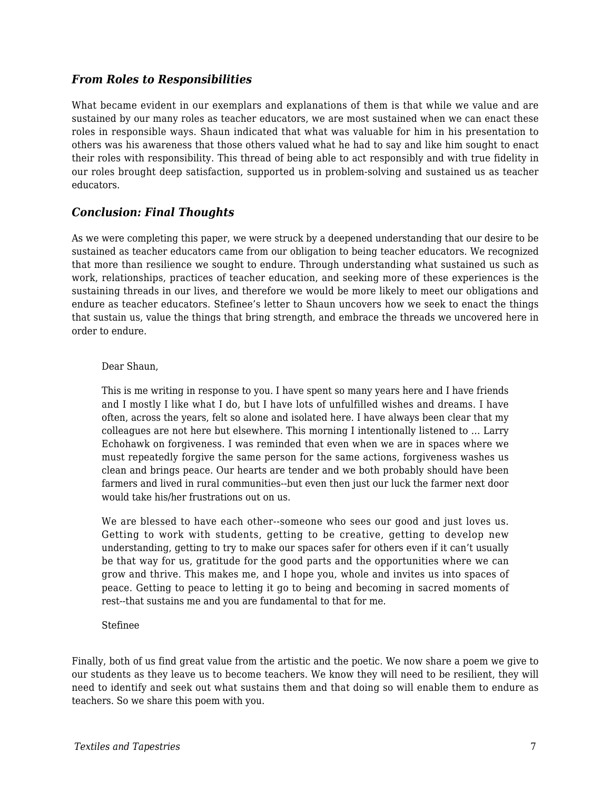#### *From Roles to Responsibilities*

What became evident in our exemplars and explanations of them is that while we value and are sustained by our many roles as teacher educators, we are most sustained when we can enact these roles in responsible ways. Shaun indicated that what was valuable for him in his presentation to others was his awareness that those others valued what he had to say and like him sought to enact their roles with responsibility. This thread of being able to act responsibly and with true fidelity in our roles brought deep satisfaction, supported us in problem-solving and sustained us as teacher educators.

#### *Conclusion: Final Thoughts*

As we were completing this paper, we were struck by a deepened understanding that our desire to be sustained as teacher educators came from our obligation to being teacher educators. We recognized that more than resilience we sought to endure. Through understanding what sustained us such as work, relationships, practices of teacher education, and seeking more of these experiences is the sustaining threads in our lives, and therefore we would be more likely to meet our obligations and endure as teacher educators. Stefinee's letter to Shaun uncovers how we seek to enact the things that sustain us, value the things that bring strength, and embrace the threads we uncovered here in order to endure.

#### Dear Shaun,

This is me writing in response to you. I have spent so many years here and I have friends and I mostly I like what I do, but I have lots of unfulfilled wishes and dreams. I have often, across the years, felt so alone and isolated here. I have always been clear that my colleagues are not here but elsewhere. This morning I intentionally listened to … Larry Echohawk on forgiveness. I was reminded that even when we are in spaces where we must repeatedly forgive the same person for the same actions, forgiveness washes us clean and brings peace. Our hearts are tender and we both probably should have been farmers and lived in rural communities--but even then just our luck the farmer next door would take his/her frustrations out on us.

We are blessed to have each other--someone who sees our good and just loves us. Getting to work with students, getting to be creative, getting to develop new understanding, getting to try to make our spaces safer for others even if it can't usually be that way for us, gratitude for the good parts and the opportunities where we can grow and thrive. This makes me, and I hope you, whole and invites us into spaces of peace. Getting to peace to letting it go to being and becoming in sacred moments of rest--that sustains me and you are fundamental to that for me.

#### Stefinee

Finally, both of us find great value from the artistic and the poetic. We now share a poem we give to our students as they leave us to become teachers. We know they will need to be resilient, they will need to identify and seek out what sustains them and that doing so will enable them to endure as teachers. So we share this poem with you.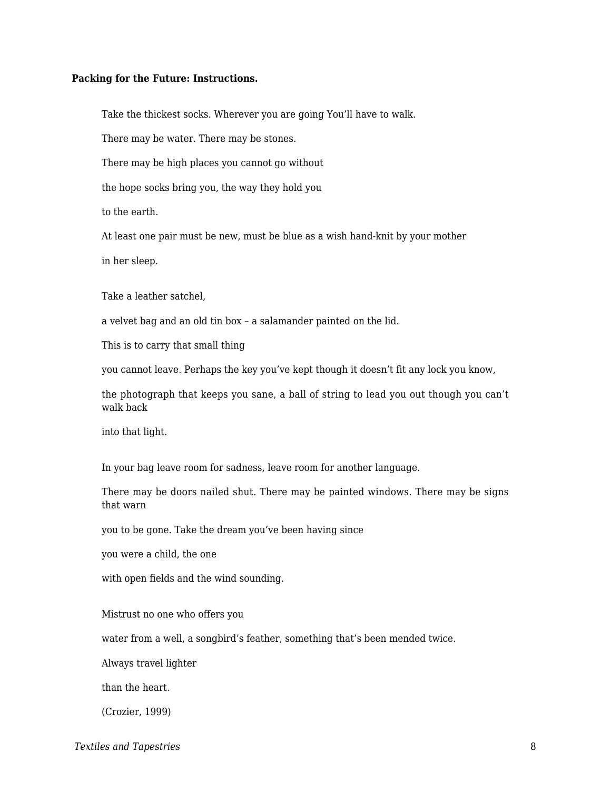#### **Packing for the Future: Instructions.**

Take the thickest socks. Wherever you are going You'll have to walk.

There may be water. There may be stones.

There may be high places you cannot go without

the hope socks bring you, the way they hold you

to the earth.

At least one pair must be new, must be blue as a wish hand-knit by your mother

in her sleep.

Take a leather satchel,

a velvet bag and an old tin box – a salamander painted on the lid.

This is to carry that small thing

you cannot leave. Perhaps the key you've kept though it doesn't fit any lock you know,

the photograph that keeps you sane, a ball of string to lead you out though you can't walk back

into that light.

In your bag leave room for sadness, leave room for another language.

There may be doors nailed shut. There may be painted windows. There may be signs that warn

you to be gone. Take the dream you've been having since

you were a child, the one

with open fields and the wind sounding.

Mistrust no one who offers you

water from a well, a songbird's feather, something that's been mended twice.

Always travel lighter

than the heart.

(Crozier, 1999)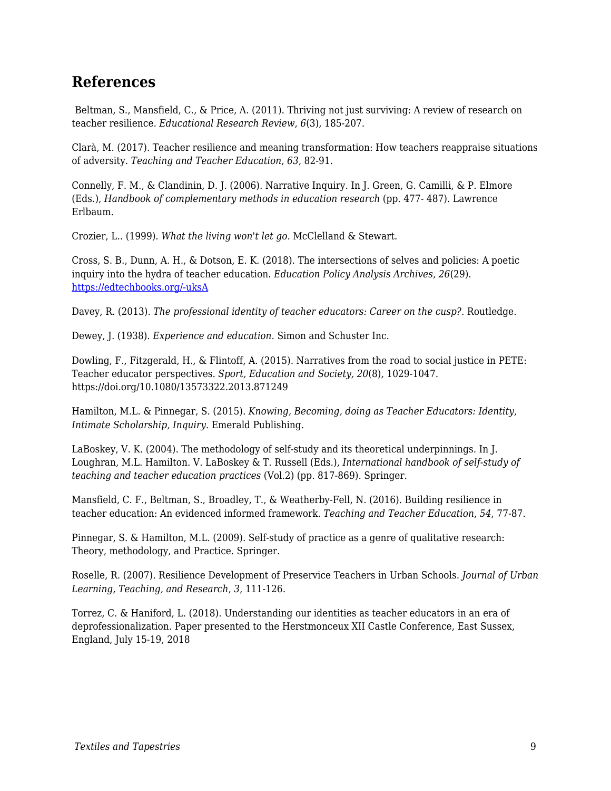### **References**

Beltman, S., Mansfield, C., & Price, A. (2011). Thriving not just surviving: A review of research on teacher resilience. *Educational Research Review*, *6*(3), 185-207.

Clarà, M. (2017). Teacher resilience and meaning transformation: How teachers reappraise situations of adversity. *Teaching and Teacher Education*, *63*, 82-91.

Connelly, F. M., & Clandinin, D. J. (2006). Narrative Inquiry. In J. Green, G. Camilli, & P. Elmore (Eds.), *Handbook of complementary methods in education research* (pp. 477- 487). Lawrence Erlbaum.

Crozier, L.. (1999). *What the living won't let go.* McClelland & Stewart.

Cross, S. B., Dunn, A. H., & Dotson, E. K. (2018). The intersections of selves and policies: A poetic inquiry into the hydra of teacher education. *Education Policy Analysis Archives, 26*(29). [https://edtechbooks.org/-uksA](http://dx.doi.org/10.14507/epaa.26.2813)

Davey, R. (2013). *The professional identity of teacher educators: Career on the cusp?*. Routledge.

Dewey, J. (1938). *Experience and education*. Simon and Schuster Inc.

Dowling, F., Fitzgerald, H., & Flintoff, A. (2015). Narratives from the road to social justice in PETE: Teacher educator perspectives. *Sport, Education and Society, 20*(8)*,* 1029-1047. https://doi.org/10.1080/13573322.2013.871249

Hamilton, M.L. & Pinnegar, S. (2015). *Knowing, Becoming, doing as Teacher Educators: Identity, Intimate Scholarship, Inquiry*. Emerald Publishing.

LaBoskey, V. K. (2004). The methodology of self-study and its theoretical underpinnings. In J. Loughran, M.L. Hamilton. V. LaBoskey & T. Russell (Eds.), *International handbook of self-study of teaching and teacher education practices* (Vol.2) (pp. 817-869). Springer.

Mansfield, C. F., Beltman, S., Broadley, T., & Weatherby-Fell, N. (2016). Building resilience in teacher education: An evidenced informed framework. *Teaching and Teacher Education*, *54*, 77-87.

Pinnegar, S. & Hamilton, M.L. (2009). Self-study of practice as a genre of qualitative research: Theory, methodology, and Practice. Springer.

Roselle, R. (2007). Resilience Development of Preservice Teachers in Urban Schools. *Journal of Urban Learning, Teaching, and Research*, *3*, 111-126.

Torrez, C. & Haniford, L. (2018). Understanding our identities as teacher educators in an era of deprofessionalization. Paper presented to the Herstmonceux XII Castle Conference, East Sussex, England, July 15-19, 2018